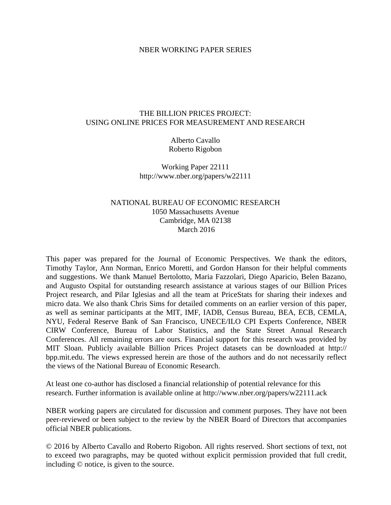#### NBER WORKING PAPER SERIES

#### THE BILLION PRICES PROJECT: USING ONLINE PRICES FOR MEASUREMENT AND RESEARCH

Alberto Cavallo Roberto Rigobon

Working Paper 22111 http://www.nber.org/papers/w22111

### NATIONAL BUREAU OF ECONOMIC RESEARCH 1050 Massachusetts Avenue Cambridge, MA 02138 March 2016

This paper was prepared for the Journal of Economic Perspectives. We thank the editors, Timothy Taylor, Ann Norman, Enrico Moretti, and Gordon Hanson for their helpful comments and suggestions. We thank Manuel Bertolotto, Maria Fazzolari, Diego Aparicio, Belen Bazano, and Augusto Ospital for outstanding research assistance at various stages of our Billion Prices Project research, and Pilar Iglesias and all the team at PriceStats for sharing their indexes and micro data. We also thank Chris Sims for detailed comments on an earlier version of this paper, as well as seminar participants at the MIT, IMF, IADB, Census Bureau, BEA, ECB, CEMLA, NYU, Federal Reserve Bank of San Francisco, UNECE/ILO CPI Experts Conference, NBER CIRW Conference, Bureau of Labor Statistics, and the State Street Annual Research Conferences. All remaining errors are ours. Financial support for this research was provided by MIT Sloan. Publicly available Billion Prices Project datasets can be downloaded at http:// bpp.mit.edu. The views expressed herein are those of the authors and do not necessarily reflect the views of the National Bureau of Economic Research.

At least one co-author has disclosed a financial relationship of potential relevance for this research. Further information is available online at http://www.nber.org/papers/w22111.ack

NBER working papers are circulated for discussion and comment purposes. They have not been peer-reviewed or been subject to the review by the NBER Board of Directors that accompanies official NBER publications.

© 2016 by Alberto Cavallo and Roberto Rigobon. All rights reserved. Short sections of text, not to exceed two paragraphs, may be quoted without explicit permission provided that full credit, including © notice, is given to the source.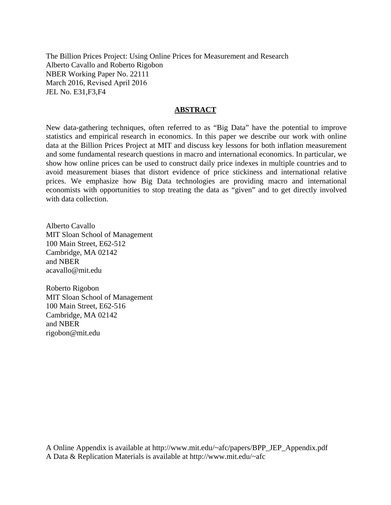The Billion Prices Project: Using Online Prices for Measurement and Research Alberto Cavallo and Roberto Rigobon NBER Working Paper No. 22111 March 2016, Revised April 2016 JEL No. E31,F3,F4

#### **ABSTRACT**

New data-gathering techniques, often referred to as "Big Data" have the potential to improve statistics and empirical research in economics. In this paper we describe our work with online data at the Billion Prices Project at MIT and discuss key lessons for both inflation measurement and some fundamental research questions in macro and international economics. In particular, we show how online prices can be used to construct daily price indexes in multiple countries and to avoid measurement biases that distort evidence of price stickiness and international relative prices. We emphasize how Big Data technologies are providing macro and international economists with opportunities to stop treating the data as "given" and to get directly involved with data collection.

Alberto Cavallo MIT Sloan School of Management 100 Main Street, E62-512 Cambridge, MA 02142 and NBER acavallo@mit.edu

Roberto Rigobon MIT Sloan School of Management 100 Main Street, E62-516 Cambridge, MA 02142 and NBER rigobon@mit.edu

A Online Appendix is available at http://www.mit.edu/~afc/papers/BPP\_JEP\_Appendix.pdf A Data & Replication Materials is available at http://www.mit.edu/~afc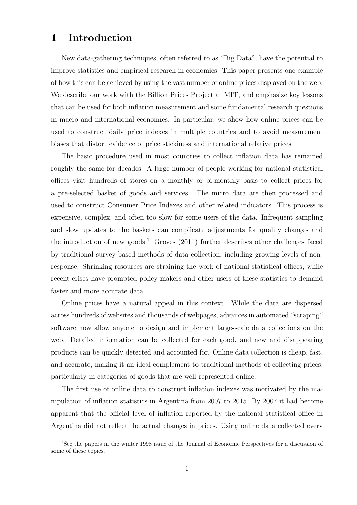## 1 Introduction

New data-gathering techniques, often referred to as "Big Data", have the potential to improve statistics and empirical research in economics. This paper presents one example of how this can be achieved by using the vast number of online prices displayed on the web. We describe our work with the Billion Prices Project at MIT, and emphasize key lessons that can be used for both inflation measurement and some fundamental research questions in macro and international economics. In particular, we show how online prices can be used to construct daily price indexes in multiple countries and to avoid measurement biases that distort evidence of price stickiness and international relative prices.

The basic procedure used in most countries to collect inflation data has remained roughly the same for decades. A large number of people working for national statistical offices visit hundreds of stores on a monthly or bi-monthly basis to collect prices for a pre-selected basket of goods and services. The micro data are then processed and used to construct Consumer Price Indexes and other related indicators. This process is expensive, complex, and often too slow for some users of the data. Infrequent sampling and slow updates to the baskets can complicate adjustments for quality changes and the introduction of new goods.<sup>1</sup> Groves  $(2011)$  further describes other challenges faced by traditional survey-based methods of data collection, including growing levels of nonresponse. Shrinking resources are straining the work of national statistical offices, while recent crises have prompted policy-makers and other users of these statistics to demand faster and more accurate data.

Online prices have a natural appeal in this context. While the data are dispersed across hundreds of websites and thousands of webpages, advances in automated "scraping" software now allow anyone to design and implement large-scale data collections on the web. Detailed information can be collected for each good, and new and disappearing products can be quickly detected and accounted for. Online data collection is cheap, fast, and accurate, making it an ideal complement to traditional methods of collecting prices, particularly in categories of goods that are well-represented online.

The first use of online data to construct inflation indexes was motivated by the manipulation of inflation statistics in Argentina from 2007 to 2015. By 2007 it had become apparent that the official level of inflation reported by the national statistical office in Argentina did not reflect the actual changes in prices. Using online data collected every

<sup>1</sup>See the papers in the winter 1998 issue of the Journal of Economic Perspectives for a discussion of some of these topics.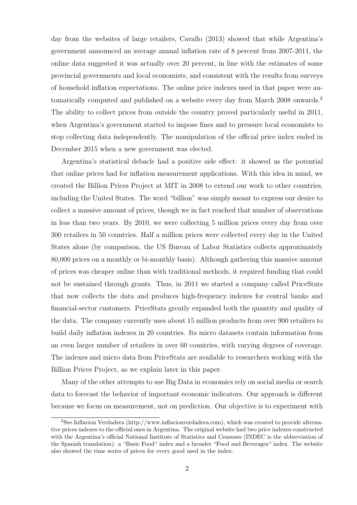day from the websites of large retailers, Cavallo (2013) showed that while Argentina's government announced an average annual inflation rate of 8 percent from 2007-2011, the online data suggested it was actually over 20 percent, in line with the estimates of some provincial governments and local economists, and consistent with the results from surveys of household inflation expectations. The online price indexes used in that paper were automatically computed and published on a website every day from March 2008 onwards.<sup>2</sup> The ability to collect prices from outside the country proved particularly useful in 2011, when Argentina's government started to impose fines and to pressure local economists to stop collecting data independently. The manipulation of the official price index ended in December 2015 when a new government was elected.

Argentina's statistical debacle had a positive side effect: it showed us the potential that online prices had for inflation measurement applications. With this idea in mind, we created the Billion Prices Project at MIT in 2008 to extend our work to other countries, including the United States. The word "billion" was simply meant to express our desire to collect a massive amount of prices, though we in fact reached that number of observations in less than two years. By 2010, we were collecting 5 million prices every day from over 300 retailers in 50 countries. Half a million prices were collected every day in the United States alone (by comparison, the US Bureau of Labor Statistics collects approximately 80,000 prices on a monthly or bi-monthly basis). Although gathering this massive amount of prices was cheaper online than with traditional methods, it required funding that could not be sustained through grants. Thus, in 2011 we started a company called PriceStats that now collects the data and produces high-frequency indexes for central banks and financial-sector customers. PriceStats greatly expanded both the quantity and quality of the data. The company currently uses about 15 million products from over 900 retailers to build daily inflation indexes in 20 countries. Its micro datasets contain information from an even larger number of retailers in over 60 countries, with varying degrees of coverage. The indexes and micro data from PriceStats are available to researchers working with the Billion Prices Project, as we explain later in this paper.

Many of the other attempts to use Big Data in economics rely on social media or search data to forecast the behavior of important economic indicators. Our approach is different because we focus on measurement, not on prediction. Our objective is to experiment with

<sup>2</sup>See Inflacion Verdadera (http://www.inflacionverdadera.com), which was created to provide alternative prices indexes to the official ones in Argentina. The original website had two price indexes constructed with the Argentina's official National Institute of Statistics and Censuses (INDEC is the abbreviation of the Spanish translation): a "Basic Food" index and a broader "Food and Beverages" index. The website also showed the time series of prices for every good used in the index.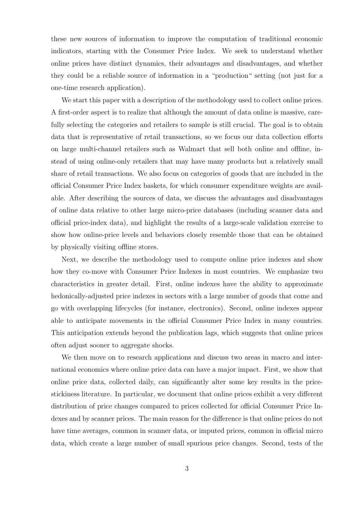these new sources of information to improve the computation of traditional economic indicators, starting with the Consumer Price Index. We seek to understand whether online prices have distinct dynamics, their advantages and disadvantages, and whether they could be a reliable source of information in a "production" setting (not just for a one-time research application).

We start this paper with a description of the methodology used to collect online prices. A first-order aspect is to realize that although the amount of data online is massive, carefully selecting the categories and retailers to sample is still crucial. The goal is to obtain data that is representative of retail transactions, so we focus our data collection efforts on large multi-channel retailers such as Walmart that sell both online and offline, instead of using online-only retailers that may have many products but a relatively small share of retail transactions. We also focus on categories of goods that are included in the official Consumer Price Index baskets, for which consumer expenditure weights are available. After describing the sources of data, we discuss the advantages and disadvantages of online data relative to other large micro-price databases (including scanner data and official price-index data), and highlight the results of a large-scale validation exercise to show how online-price levels and behaviors closely resemble those that can be obtained by physically visiting offline stores.

Next, we describe the methodology used to compute online price indexes and show how they co-move with Consumer Price Indexes in most countries. We emphasize two characteristics in greater detail. First, online indexes have the ability to approximate hedonically-adjusted price indexes in sectors with a large number of goods that come and go with overlapping lifecycles (for instance, electronics). Second, online indexes appear able to anticipate movements in the official Consumer Price Index in many countries. This anticipation extends beyond the publication lags, which suggests that online prices often adjust sooner to aggregate shocks.

We then move on to research applications and discuss two areas in macro and international economics where online price data can have a major impact. First, we show that online price data, collected daily, can significantly alter some key results in the pricestickiness literature. In particular, we document that online prices exhibit a very different distribution of price changes compared to prices collected for official Consumer Price Indexes and by scanner prices. The main reason for the difference is that online prices do not have time averages, common in scanner data, or imputed prices, common in official micro data, which create a large number of small spurious price changes. Second, tests of the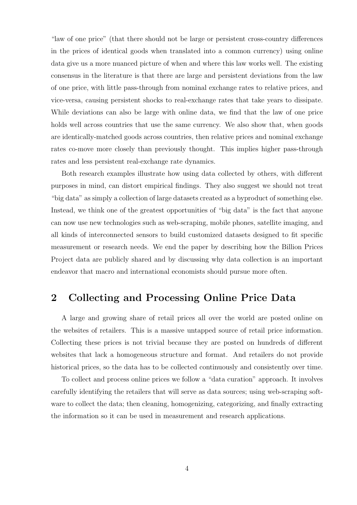"law of one price" (that there should not be large or persistent cross-country differences in the prices of identical goods when translated into a common currency) using online data give us a more nuanced picture of when and where this law works well. The existing consensus in the literature is that there are large and persistent deviations from the law of one price, with little pass-through from nominal exchange rates to relative prices, and vice-versa, causing persistent shocks to real-exchange rates that take years to dissipate. While deviations can also be large with online data, we find that the law of one price holds well across countries that use the same currency. We also show that, when goods are identically-matched goods across countries, then relative prices and nominal exchange rates co-move more closely than previously thought. This implies higher pass-through rates and less persistent real-exchange rate dynamics.

Both research examples illustrate how using data collected by others, with different purposes in mind, can distort empirical findings. They also suggest we should not treat "big data" as simply a collection of large datasets created as a byproduct of something else. Instead, we think one of the greatest opportunities of "big data" is the fact that anyone can now use new technologies such as web-scraping, mobile phones, satellite imaging, and all kinds of interconnected sensors to build customized datasets designed to fit specific measurement or research needs. We end the paper by describing how the Billion Prices Project data are publicly shared and by discussing why data collection is an important endeavor that macro and international economists should pursue more often.

# 2 Collecting and Processing Online Price Data

A large and growing share of retail prices all over the world are posted online on the websites of retailers. This is a massive untapped source of retail price information. Collecting these prices is not trivial because they are posted on hundreds of different websites that lack a homogeneous structure and format. And retailers do not provide historical prices, so the data has to be collected continuously and consistently over time.

To collect and process online prices we follow a "data curation" approach. It involves carefully identifying the retailers that will serve as data sources; using web-scraping software to collect the data; then cleaning, homogenizing, categorizing, and finally extracting the information so it can be used in measurement and research applications.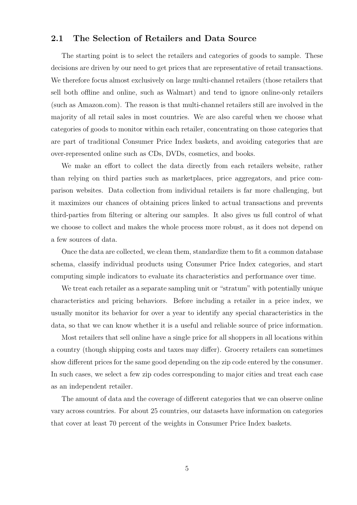### 2.1 The Selection of Retailers and Data Source

The starting point is to select the retailers and categories of goods to sample. These decisions are driven by our need to get prices that are representative of retail transactions. We therefore focus almost exclusively on large multi-channel retailers (those retailers that sell both offline and online, such as Walmart) and tend to ignore online-only retailers (such as Amazon.com). The reason is that multi-channel retailers still are involved in the majority of all retail sales in most countries. We are also careful when we choose what categories of goods to monitor within each retailer, concentrating on those categories that are part of traditional Consumer Price Index baskets, and avoiding categories that are over-represented online such as CDs, DVDs, cosmetics, and books.

We make an effort to collect the data directly from each retailers website, rather than relying on third parties such as marketplaces, price aggregators, and price comparison websites. Data collection from individual retailers is far more challenging, but it maximizes our chances of obtaining prices linked to actual transactions and prevents third-parties from filtering or altering our samples. It also gives us full control of what we choose to collect and makes the whole process more robust, as it does not depend on a few sources of data.

Once the data are collected, we clean them, standardize them to fit a common database schema, classify individual products using Consumer Price Index categories, and start computing simple indicators to evaluate its characteristics and performance over time.

We treat each retailer as a separate sampling unit or "stratum" with potentially unique characteristics and pricing behaviors. Before including a retailer in a price index, we usually monitor its behavior for over a year to identify any special characteristics in the data, so that we can know whether it is a useful and reliable source of price information.

Most retailers that sell online have a single price for all shoppers in all locations within a country (though shipping costs and taxes may differ). Grocery retailers can sometimes show different prices for the same good depending on the zip code entered by the consumer. In such cases, we select a few zip codes corresponding to major cities and treat each case as an independent retailer.

The amount of data and the coverage of different categories that we can observe online vary across countries. For about 25 countries, our datasets have information on categories that cover at least 70 percent of the weights in Consumer Price Index baskets.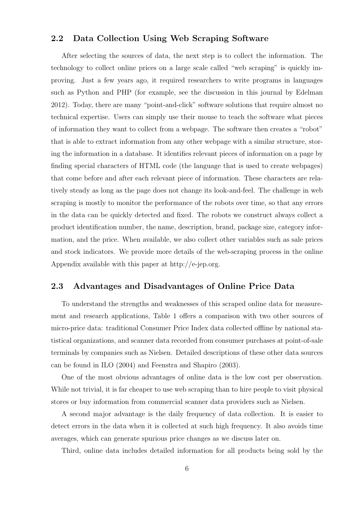### 2.2 Data Collection Using Web Scraping Software

After selecting the sources of data, the next step is to collect the information. The technology to collect online prices on a large scale called "web scraping" is quickly improving. Just a few years ago, it required researchers to write programs in languages such as Python and PHP (for example, see the discussion in this journal by Edelman 2012). Today, there are many "point-and-click" software solutions that require almost no technical expertise. Users can simply use their mouse to teach the software what pieces of information they want to collect from a webpage. The software then creates a "robot" that is able to extract information from any other webpage with a similar structure, storing the information in a database. It identifies relevant pieces of information on a page by finding special characters of HTML code (the language that is used to create webpages) that come before and after each relevant piece of information. These characters are relatively steady as long as the page does not change its look-and-feel. The challenge in web scraping is mostly to monitor the performance of the robots over time, so that any errors in the data can be quickly detected and fixed. The robots we construct always collect a product identification number, the name, description, brand, package size, category information, and the price. When available, we also collect other variables such as sale prices and stock indicators. We provide more details of the web-scraping process in the online Appendix available with this paper at http://e-jep.org.

### 2.3 Advantages and Disadvantages of Online Price Data

To understand the strengths and weaknesses of this scraped online data for measurement and research applications, Table 1 offers a comparison with two other sources of micro-price data: traditional Consumer Price Index data collected offline by national statistical organizations, and scanner data recorded from consumer purchases at point-of-sale terminals by companies such as Nielsen. Detailed descriptions of these other data sources can be found in ILO (2004) and Feenstra and Shapiro (2003).

One of the most obvious advantages of online data is the low cost per observation. While not trivial, it is far cheaper to use web scraping than to hire people to visit physical stores or buy information from commercial scanner data providers such as Nielsen.

A second major advantage is the daily frequency of data collection. It is easier to detect errors in the data when it is collected at such high frequency. It also avoids time averages, which can generate spurious price changes as we discuss later on.

Third, online data includes detailed information for all products being sold by the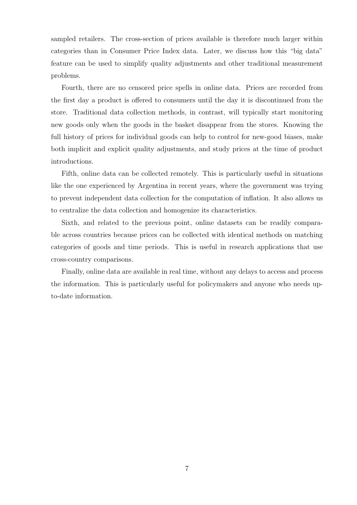sampled retailers. The cross-section of prices available is therefore much larger within categories than in Consumer Price Index data. Later, we discuss how this "big data" feature can be used to simplify quality adjustments and other traditional measurement problems.

Fourth, there are no censored price spells in online data. Prices are recorded from the first day a product is offered to consumers until the day it is discontinued from the store. Traditional data collection methods, in contrast, will typically start monitoring new goods only when the goods in the basket disappear from the stores. Knowing the full history of prices for individual goods can help to control for new-good biases, make both implicit and explicit quality adjustments, and study prices at the time of product introductions.

Fifth, online data can be collected remotely. This is particularly useful in situations like the one experienced by Argentina in recent years, where the government was trying to prevent independent data collection for the computation of inflation. It also allows us to centralize the data collection and homogenize its characteristics.

Sixth, and related to the previous point, online datasets can be readily comparable across countries because prices can be collected with identical methods on matching categories of goods and time periods. This is useful in research applications that use cross-country comparisons.

Finally, online data are available in real time, without any delays to access and process the information. This is particularly useful for policymakers and anyone who needs upto-date information.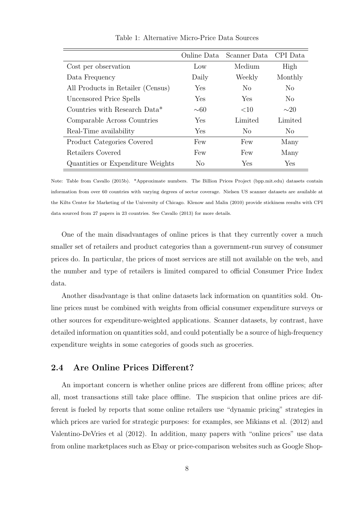|                                   | Online Data  | Scanner Data   | CPI Data       |
|-----------------------------------|--------------|----------------|----------------|
| Cost per observation              | Low          | Medium         | High           |
| Data Frequency                    | Daily        | Weekly         | Monthly        |
| All Products in Retailer (Census) | Yes          | N <sub>0</sub> | No.            |
| Uncensored Price Spells           | Yes          | Yes            | N <sub>0</sub> |
| Countries with Research Data*     | $\sim\!\!60$ | <10            | $\sim$ 20      |
| Comparable Across Countries       | Yes          | Limited        | Limited        |
| Real-Time availability            | Yes          | N <sub>o</sub> | $\rm No$       |
| Product Categories Covered        | Few          | Few            | Many           |
| Retailers Covered                 | Few          | Few            | Many           |
| Quantities or Expenditure Weights | No           | Yes            | Yes            |

Table 1: Alternative Micro-Price Data Sources

Note: Table from Cavallo (2015b). \*Approximate numbers. The Billion Prices Project (bpp.mit.edu) datasets contain information from over 60 countries with varying degrees of sector coverage. Nielsen US scanner datasets are available at the Kilts Center for Marketing of the University of Chicago. Klenow and Malin (2010) provide stickiness results with CPI data sourced from 27 papers in 23 countries. See Cavallo (2013) for more details.

One of the main disadvantages of online prices is that they currently cover a much smaller set of retailers and product categories than a government-run survey of consumer prices do. In particular, the prices of most services are still not available on the web, and the number and type of retailers is limited compared to official Consumer Price Index data.

Another disadvantage is that online datasets lack information on quantities sold. Online prices must be combined with weights from official consumer expenditure surveys or other sources for expenditure-weighted applications. Scanner datasets, by contrast, have detailed information on quantities sold, and could potentially be a source of high-frequency expenditure weights in some categories of goods such as groceries.

### 2.4 Are Online Prices Different?

An important concern is whether online prices are different from offline prices; after all, most transactions still take place offline. The suspicion that online prices are different is fueled by reports that some online retailers use "dynamic pricing" strategies in which prices are varied for strategic purposes: for examples, see Mikians et al. (2012) and Valentino-DeVries et al (2012). In addition, many papers with "online prices" use data from online marketplaces such as Ebay or price-comparison websites such as Google Shop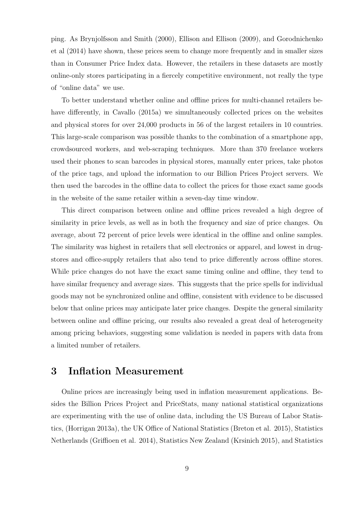ping. As Brynjolfsson and Smith (2000), Ellison and Ellison (2009), and Gorodnichenko et al (2014) have shown, these prices seem to change more frequently and in smaller sizes than in Consumer Price Index data. However, the retailers in these datasets are mostly online-only stores participating in a fiercely competitive environment, not really the type of "online data" we use.

To better understand whether online and offline prices for multi-channel retailers behave differently, in Cavallo (2015a) we simultaneously collected prices on the websites and physical stores for over 24,000 products in 56 of the largest retailers in 10 countries. This large-scale comparison was possible thanks to the combination of a smartphone app, crowdsourced workers, and web-scraping techniques. More than 370 freelance workers used their phones to scan barcodes in physical stores, manually enter prices, take photos of the price tags, and upload the information to our Billion Prices Project servers. We then used the barcodes in the offline data to collect the prices for those exact same goods in the website of the same retailer within a seven-day time window.

This direct comparison between online and offline prices revealed a high degree of similarity in price levels, as well as in both the frequency and size of price changes. On average, about 72 percent of price levels were identical in the offline and online samples. The similarity was highest in retailers that sell electronics or apparel, and lowest in drugstores and office-supply retailers that also tend to price differently across offline stores. While price changes do not have the exact same timing online and offline, they tend to have similar frequency and average sizes. This suggests that the price spells for individual goods may not be synchronized online and offline, consistent with evidence to be discussed below that online prices may anticipate later price changes. Despite the general similarity between online and offline pricing, our results also revealed a great deal of heterogeneity among pricing behaviors, suggesting some validation is needed in papers with data from a limited number of retailers.

## 3 Inflation Measurement

Online prices are increasingly being used in inflation measurement applications. Besides the Billion Prices Project and PriceStats, many national statistical organizations are experimenting with the use of online data, including the US Bureau of Labor Statistics, (Horrigan 2013a), the UK Office of National Statistics (Breton et al. 2015), Statistics Netherlands (Griffioen et al. 2014), Statistics New Zealand (Krsinich 2015), and Statistics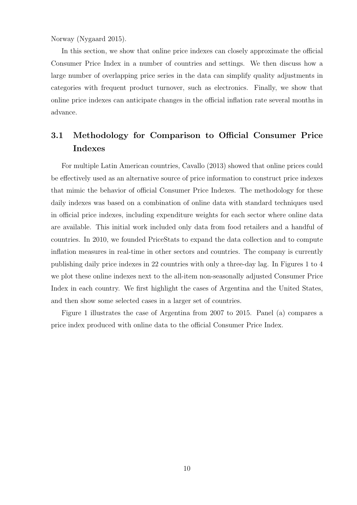Norway (Nygaard 2015).

In this section, we show that online price indexes can closely approximate the official Consumer Price Index in a number of countries and settings. We then discuss how a large number of overlapping price series in the data can simplify quality adjustments in categories with frequent product turnover, such as electronics. Finally, we show that online price indexes can anticipate changes in the official inflation rate several months in advance.

# 3.1 Methodology for Comparison to Official Consumer Price Indexes

For multiple Latin American countries, Cavallo (2013) showed that online prices could be effectively used as an alternative source of price information to construct price indexes that mimic the behavior of official Consumer Price Indexes. The methodology for these daily indexes was based on a combination of online data with standard techniques used in official price indexes, including expenditure weights for each sector where online data are available. This initial work included only data from food retailers and a handful of countries. In 2010, we founded PriceStats to expand the data collection and to compute inflation measures in real-time in other sectors and countries. The company is currently publishing daily price indexes in 22 countries with only a three-day lag. In Figures 1 to 4 we plot these online indexes next to the all-item non-seasonally adjusted Consumer Price Index in each country. We first highlight the cases of Argentina and the United States, and then show some selected cases in a larger set of countries.

Figure 1 illustrates the case of Argentina from 2007 to 2015. Panel (a) compares a price index produced with online data to the official Consumer Price Index.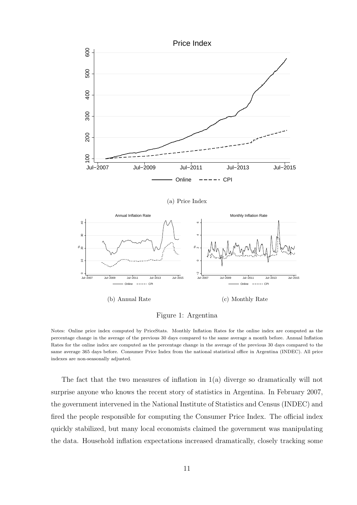

(a) Price Index



Figure 1: Argentina

Notes: Online price index computed by PriceStats. Monthly Inflation Rates for the online index are computed as the percentage change in the average of the previous 30 days compared to the same average a month before. Annual Inflation Rates for the online index are computed as the percentage change in the average of the previous 30 days compared to the same average 365 days before. Consumer Price Index from the national statistical office in Argentina (INDEC). All price indexes are non-seasonally adjusted.

The fact that the two measures of inflation in 1(a) diverge so dramatically will not surprise anyone who knows the recent story of statistics in Argentina. In February 2007, the government intervened in the National Institute of Statistics and Census (INDEC) and fired the people responsible for computing the Consumer Price Index. The official index quickly stabilized, but many local economists claimed the government was manipulating the data. Household inflation expectations increased dramatically, closely tracking some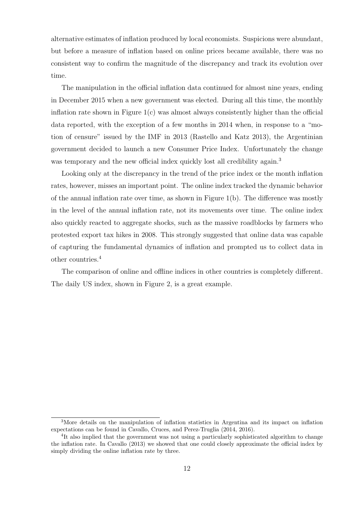alternative estimates of inflation produced by local economists. Suspicions were abundant, but before a measure of inflation based on online prices became available, there was no consistent way to confirm the magnitude of the discrepancy and track its evolution over time.

The manipulation in the official inflation data continued for almost nine years, ending in December 2015 when a new government was elected. During all this time, the monthly inflation rate shown in Figure  $1(c)$  was almost always consistently higher than the official data reported, with the exception of a few months in 2014 when, in response to a "motion of censure" issued by the IMF in 2013 (Rastello and Katz 2013), the Argentinian government decided to launch a new Consumer Price Index. Unfortunately the change was temporary and the new official index quickly lost all credibility again.<sup>3</sup>

Looking only at the discrepancy in the trend of the price index or the month inflation rates, however, misses an important point. The online index tracked the dynamic behavior of the annual inflation rate over time, as shown in Figure 1(b). The difference was mostly in the level of the annual inflation rate, not its movements over time. The online index also quickly reacted to aggregate shocks, such as the massive roadblocks by farmers who protested export tax hikes in 2008. This strongly suggested that online data was capable of capturing the fundamental dynamics of inflation and prompted us to collect data in other countries.<sup>4</sup>

The comparison of online and offline indices in other countries is completely different. The daily US index, shown in Figure 2, is a great example.

<sup>3</sup>More details on the manipulation of inflation statistics in Argentina and its impact on inflation expectations can be found in Cavallo, Cruces, and Perez-Truglia (2014, 2016).

<sup>&</sup>lt;sup>4</sup>It also implied that the government was not using a particularly sophisticated algorithm to change the inflation rate. In Cavallo (2013) we showed that one could closely approximate the official index by simply dividing the online inflation rate by three.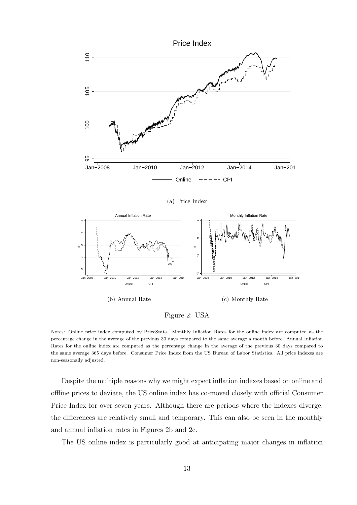

(a) Price Index



Figure 2: USA

Notes: Online price index computed by PriceStats. Monthly Inflation Rates for the online index are computed as the percentage change in the average of the previous 30 days compared to the same average a month before. Annual Inflation Rates for the online index are computed as the percentage change in the average of the previous 30 days compared to the same average 365 days before. Consumer Price Index from the US Bureau of Labor Statistics. All price indexes are non-seasonally adjusted.

Despite the multiple reasons why we might expect inflation indexes based on online and offline prices to deviate, the US online index has co-moved closely with official Consumer Price Index for over seven years. Although there are periods where the indexes diverge, the differences are relatively small and temporary. This can also be seen in the monthly and annual inflation rates in Figures 2b and 2c.

The US online index is particularly good at anticipating major changes in inflation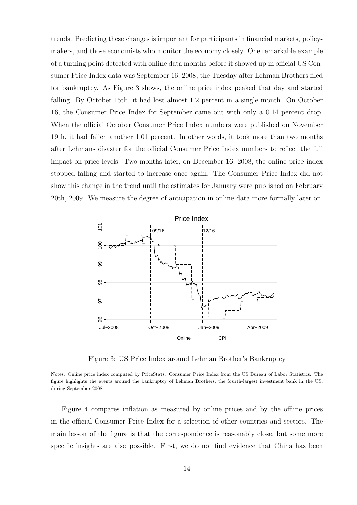trends. Predicting these changes is important for participants in financial markets, policymakers, and those economists who monitor the economy closely. One remarkable example of a turning point detected with online data months before it showed up in official US Consumer Price Index data was September 16, 2008, the Tuesday after Lehman Brothers filed for bankruptcy. As Figure 3 shows, the online price index peaked that day and started falling. By October 15th, it had lost almost 1.2 percent in a single month. On October 16, the Consumer Price Index for September came out with only a 0.14 percent drop. When the official October Consumer Price Index numbers were published on November 19th, it had fallen another 1.01 percent. In other words, it took more than two months after Lehmans disaster for the official Consumer Price Index numbers to reflect the full impact on price levels. Two months later, on December 16, 2008, the online price index stopped falling and started to increase once again. The Consumer Price Index did not show this change in the trend until the estimates for January were published on February 20th, 2009. We measure the degree of anticipation in online data more formally later on.



Figure 3: US Price Index around Lehman Brother's Bankruptcy

Notes: Online price index computed by PriceStats. Consumer Price Index from the US Bureau of Labor Statistics. The figure highlights the events around the bankruptcy of Lehman Brothers, the fourth-largest investment bank in the US, during September 2008.

Figure 4 compares inflation as measured by online prices and by the offline prices in the official Consumer Price Index for a selection of other countries and sectors. The main lesson of the figure is that the correspondence is reasonably close, but some more specific insights are also possible. First, we do not find evidence that China has been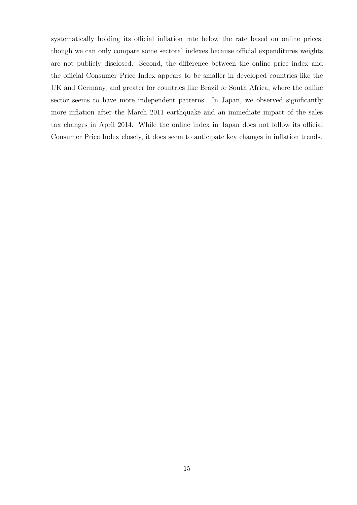systematically holding its official inflation rate below the rate based on online prices, though we can only compare some sectoral indexes because official expenditures weights are not publicly disclosed. Second, the difference between the online price index and the official Consumer Price Index appears to be smaller in developed countries like the UK and Germany, and greater for countries like Brazil or South Africa, where the online sector seems to have more independent patterns. In Japan, we observed significantly more inflation after the March 2011 earthquake and an immediate impact of the sales tax changes in April 2014. While the online index in Japan does not follow its official Consumer Price Index closely, it does seem to anticipate key changes in inflation trends.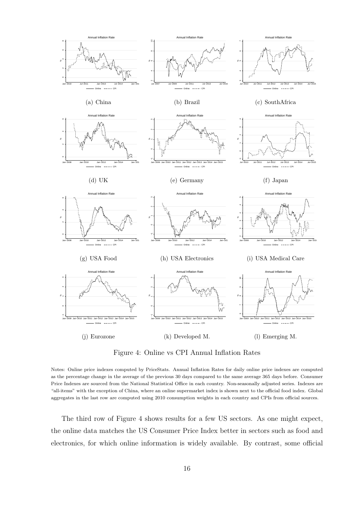

Figure 4: Online vs CPI Annual Inflation Rates

Notes: Online price indexes computed by PriceStats. Annual Inflation Rates for daily online price indexes are computed as the percentage change in the average of the previous 30 days compared to the same average 365 days before. Consumer Price Indexes are sourced from the National Statistical Office in each country. Non-seasonally adjusted series. Indexes are "all-items" with the exception of China, where an online supermarket index is shown next to the official food index. Global aggregates in the last row are computed using 2010 consumption weights in each country and CPIs from official sources.

The third row of Figure 4 shows results for a few US sectors. As one might expect, the online data matches the US Consumer Price Index better in sectors such as food and electronics, for which online information is widely available. By contrast, some official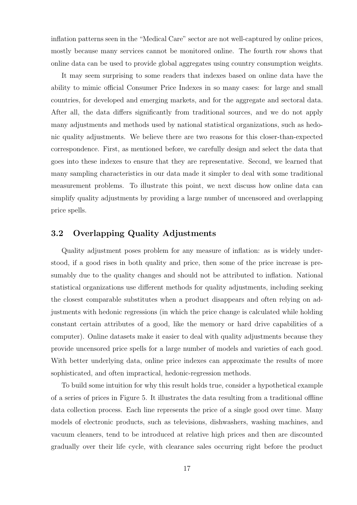inflation patterns seen in the "Medical Care" sector are not well-captured by online prices, mostly because many services cannot be monitored online. The fourth row shows that online data can be used to provide global aggregates using country consumption weights.

It may seem surprising to some readers that indexes based on online data have the ability to mimic official Consumer Price Indexes in so many cases: for large and small countries, for developed and emerging markets, and for the aggregate and sectoral data. After all, the data differs significantly from traditional sources, and we do not apply many adjustments and methods used by national statistical organizations, such as hedonic quality adjustments. We believe there are two reasons for this closer-than-expected correspondence. First, as mentioned before, we carefully design and select the data that goes into these indexes to ensure that they are representative. Second, we learned that many sampling characteristics in our data made it simpler to deal with some traditional measurement problems. To illustrate this point, we next discuss how online data can simplify quality adjustments by providing a large number of uncensored and overlapping price spells.

### 3.2 Overlapping Quality Adjustments

Quality adjustment poses problem for any measure of inflation: as is widely understood, if a good rises in both quality and price, then some of the price increase is presumably due to the quality changes and should not be attributed to inflation. National statistical organizations use different methods for quality adjustments, including seeking the closest comparable substitutes when a product disappears and often relying on adjustments with hedonic regressions (in which the price change is calculated while holding constant certain attributes of a good, like the memory or hard drive capabilities of a computer). Online datasets make it easier to deal with quality adjustments because they provide uncensored price spells for a large number of models and varieties of each good. With better underlying data, online price indexes can approximate the results of more sophisticated, and often impractical, hedonic-regression methods.

To build some intuition for why this result holds true, consider a hypothetical example of a series of prices in Figure 5. It illustrates the data resulting from a traditional offline data collection process. Each line represents the price of a single good over time. Many models of electronic products, such as televisions, dishwashers, washing machines, and vacuum cleaners, tend to be introduced at relative high prices and then are discounted gradually over their life cycle, with clearance sales occurring right before the product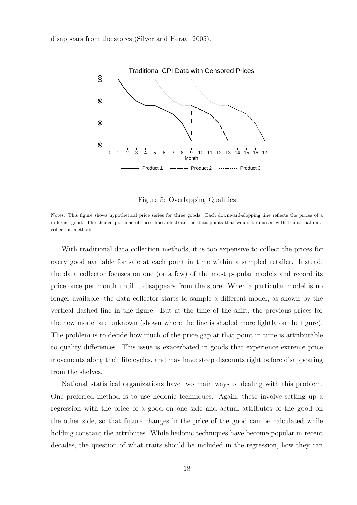disappears from the stores (Silver and Heravi 2005).



Figure 5: Overlapping Qualities

With traditional data collection methods, it is too expensive to collect the prices for every good available for sale at each point in time within a sampled retailer. Instead, the data collector focuses on one (or a few) of the most popular models and record its price once per month until it disappears from the store. When a particular model is no longer available, the data collector starts to sample a different model, as shown by the vertical dashed line in the figure. But at the time of the shift, the previous prices for the new model are unknown (shown where the line is shaded more lightly on the figure). The problem is to decide how much of the price gap at that point in time is attributable to quality differences. This issue is exacerbated in goods that experience extreme price movements along their life cycles, and may have steep discounts right before disappearing from the shelves.

National statistical organizations have two main ways of dealing with this problem. One preferred method is to use hedonic techniques. Again, these involve setting up a regression with the price of a good on one side and actual attributes of the good on the other side, so that future changes in the price of the good can be calculated while holding constant the attributes. While hedonic techniques have become popular in recent decades, the question of what traits should be included in the regression, how they can

Notes: This figure shows hypothetical price series for three goods. Each downward-slopping line reflects the prices of a different good. The shaded portions of these lines illustrate the data points that would be missed with traditional data collection methods.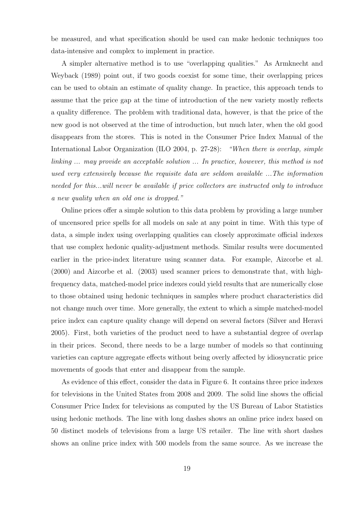be measured, and what specification should be used can make hedonic techniques too data-intensive and complex to implement in practice.

A simpler alternative method is to use "overlapping qualities." As Armknecht and Weyback (1989) point out, if two goods coexist for some time, their overlapping prices can be used to obtain an estimate of quality change. In practice, this approach tends to assume that the price gap at the time of introduction of the new variety mostly reflects a quality difference. The problem with traditional data, however, is that the price of the new good is not observed at the time of introduction, but much later, when the old good disappears from the stores. This is noted in the Consumer Price Index Manual of the International Labor Organization (ILO 2004, p. 27-28): "When there is overlap, simple linking ... may provide an acceptable solution ... In practice, however, this method is not used very extensively because the requisite data are seldom available ...The information needed for this...will never be available if price collectors are instructed only to introduce a new quality when an old one is dropped."

Online prices offer a simple solution to this data problem by providing a large number of uncensored price spells for all models on sale at any point in time. With this type of data, a simple index using overlapping qualities can closely approximate official indexes that use complex hedonic quality-adjustment methods. Similar results were documented earlier in the price-index literature using scanner data. For example, Aizcorbe et al. (2000) and Aizcorbe et al. (2003) used scanner prices to demonstrate that, with highfrequency data, matched-model price indexes could yield results that are numerically close to those obtained using hedonic techniques in samples where product characteristics did not change much over time. More generally, the extent to which a simple matched-model price index can capture quality change will depend on several factors (Silver and Heravi 2005). First, both varieties of the product need to have a substantial degree of overlap in their prices. Second, there needs to be a large number of models so that continuing varieties can capture aggregate effects without being overly affected by idiosyncratic price movements of goods that enter and disappear from the sample.

As evidence of this effect, consider the data in Figure 6. It contains three price indexes for televisions in the United States from 2008 and 2009. The solid line shows the official Consumer Price Index for televisions as computed by the US Bureau of Labor Statistics using hedonic methods. The line with long dashes shows an online price index based on 50 distinct models of televisions from a large US retailer. The line with short dashes shows an online price index with 500 models from the same source. As we increase the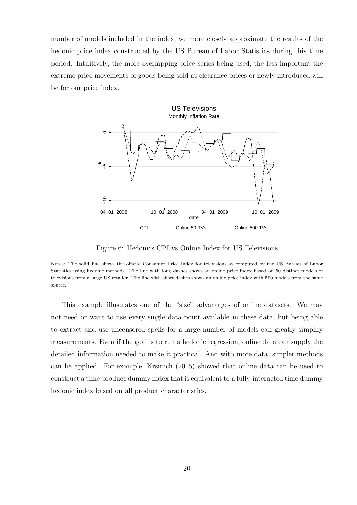number of models included in the index, we more closely approximate the results of the hedonic price index constructed by the US Bureau of Labor Statistics during this time period. Intuitively, the more overlapping price series being used, the less important the extreme price movements of goods being sold at clearance prices or newly introduced will be for our price index.



Figure 6: Hedonics CPI vs Online Index for US Televisions

This example illustrates one of the "size" advantages of online datasets. We may not need or want to use every single data point available in these data, but being able to extract and use uncensored spells for a large number of models can greatly simplify measurements. Even if the goal is to run a hedonic regression, online data can supply the detailed information needed to make it practical. And with more data, simpler methods can be applied. For example, Krsinich (2015) showed that online data can be used to construct a time-product dummy index that is equivalent to a fully-interacted time dummy hedonic index based on all product characteristics.

Notes: The solid line shows the official Consumer Price Index for televisions as computed by the US Bureau of Labor Statistics using hedonic methods. The line with long dashes shows an online price index based on 50 distinct models of televisions from a large US retailer. The line with short dashes shows an online price index with 500 models from the same source.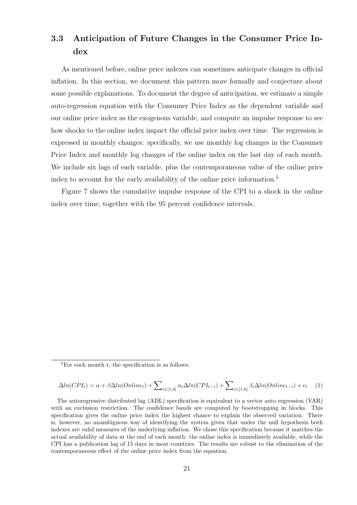# 3.3 Anticipation of Future Changes in the Consumer Price Index

As mentioned before, online price indexes can sometimes anticipate changes in official inflation. In this section, we document this pattern more formally and conjecture about some possible explanations. To document the degree of anticipation, we estimate a simple auto-regression equation with the Consumer Price Index as the dependent variable and our online price index as the exogenous variable, and compute an impulse response to see how shocks to the online index impact the official price index over time. The regression is expressed in monthly changes: specifically, we use monthly log changes in the Consumer Price Index and monthly log changes of the online index on the last day of each month. We include six lags of each variable, plus the contemporaneous value of the online price index to account for the early availability of the online price information.<sup>5</sup>

Figure 7 shows the cumulative impulse response of the CPI to a shock in the online index over time, together with the 95 percent confidence intervals.

$$
\Delta ln(CPI_t) = \alpha + \beta \Delta ln(Online_t) + \sum_{i \in [1,6]} \alpha_i \Delta ln(CPI_{t-i}) + \sum_{i \in [1,6]} \beta_i \Delta ln(Online_{t-i}) + \epsilon_t \tag{1}
$$

 ${}^{5}$ For each month t, the specification is as follows:

The autoregressive distributed lag (ADL) specification is equivalent to a vector auto regression (VAR) with an exclusion restriction. The confidence bands are computed by bootstrapping in blocks. This specification gives the online price index the highest chance to explain the observed variation. There is, however, no unambiguous way of identifying the system given that under the null hypothesis both indexes are valid measures of the underlying inflation. We chose this specification because it matches the actual availability of data at the end of each month: the online index is immediately available, while the CPI has a publication lag of 15 days in most countries. The results are robust to the elimination of the contemporaneous effect of the online price index from the equation.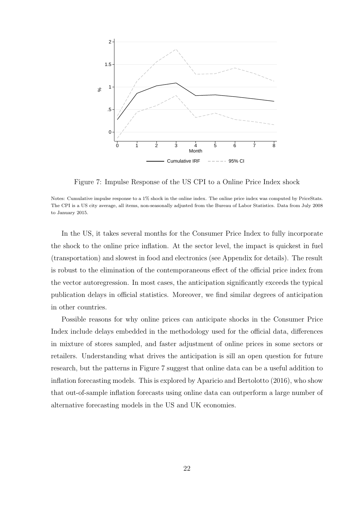

Figure 7: Impulse Response of the US CPI to a Online Price Index shock

Notes: Cumulative impulse response to a 1% shock in the online index. The online price index was computed by PriceStats. The CPI is a US city average, all items, non-seasonally adjusted from the Bureau of Labor Statistics. Data from July 2008 to January 2015.

In the US, it takes several months for the Consumer Price Index to fully incorporate the shock to the online price inflation. At the sector level, the impact is quickest in fuel (transportation) and slowest in food and electronics (see Appendix for details). The result is robust to the elimination of the contemporaneous effect of the official price index from the vector autoregression. In most cases, the anticipation significantly exceeds the typical publication delays in official statistics. Moreover, we find similar degrees of anticipation in other countries.

Possible reasons for why online prices can anticipate shocks in the Consumer Price Index include delays embedded in the methodology used for the official data, differences in mixture of stores sampled, and faster adjustment of online prices in some sectors or retailers. Understanding what drives the anticipation is sill an open question for future research, but the patterns in Figure 7 suggest that online data can be a useful addition to inflation forecasting models. This is explored by Aparicio and Bertolotto (2016), who show that out-of-sample inflation forecasts using online data can outperform a large number of alternative forecasting models in the US and UK economies.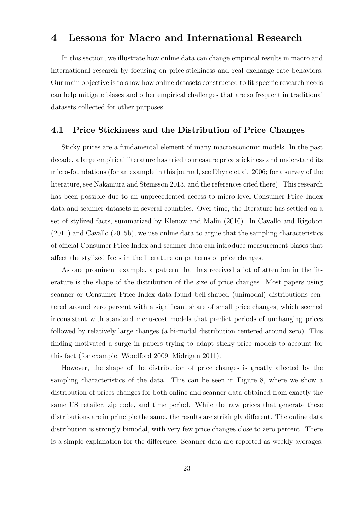## 4 Lessons for Macro and International Research

In this section, we illustrate how online data can change empirical results in macro and international research by focusing on price-stickiness and real exchange rate behaviors. Our main objective is to show how online datasets constructed to fit specific research needs can help mitigate biases and other empirical challenges that are so frequent in traditional datasets collected for other purposes.

#### 4.1 Price Stickiness and the Distribution of Price Changes

Sticky prices are a fundamental element of many macroeconomic models. In the past decade, a large empirical literature has tried to measure price stickiness and understand its micro-foundations (for an example in this journal, see Dhyne et al. 2006; for a survey of the literature, see Nakamura and Steinsson 2013, and the references cited there). This research has been possible due to an unprecedented access to micro-level Consumer Price Index data and scanner datasets in several countries. Over time, the literature has settled on a set of stylized facts, summarized by Klenow and Malin (2010). In Cavallo and Rigobon (2011) and Cavallo (2015b), we use online data to argue that the sampling characteristics of official Consumer Price Index and scanner data can introduce measurement biases that affect the stylized facts in the literature on patterns of price changes.

As one prominent example, a pattern that has received a lot of attention in the literature is the shape of the distribution of the size of price changes. Most papers using scanner or Consumer Price Index data found bell-shaped (unimodal) distributions centered around zero percent with a significant share of small price changes, which seemed inconsistent with standard menu-cost models that predict periods of unchanging prices followed by relatively large changes (a bi-modal distribution centered around zero). This finding motivated a surge in papers trying to adapt sticky-price models to account for this fact (for example, Woodford 2009; Midrigan 2011).

However, the shape of the distribution of price changes is greatly affected by the sampling characteristics of the data. This can be seen in Figure 8, where we show a distribution of prices changes for both online and scanner data obtained from exactly the same US retailer, zip code, and time period. While the raw prices that generate these distributions are in principle the same, the results are strikingly different. The online data distribution is strongly bimodal, with very few price changes close to zero percent. There is a simple explanation for the difference. Scanner data are reported as weekly averages.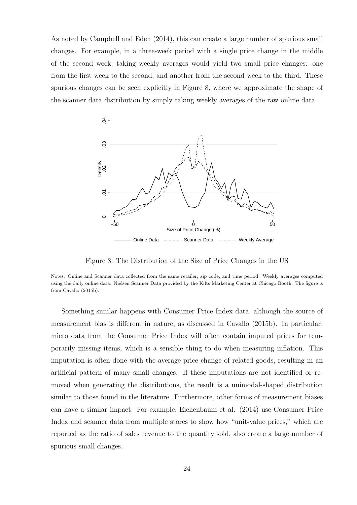As noted by Campbell and Eden (2014), this can create a large number of spurious small changes. For example, in a three-week period with a single price change in the middle of the second week, taking weekly averages would yield two small price changes: one from the first week to the second, and another from the second week to the third. These spurious changes can be seen explicitly in Figure 8, where we approximate the shape of the scanner data distribution by simply taking weekly averages of the raw online data.



Figure 8: The Distribution of the Size of Price Changes in the US

Notes: Online and Scanner data collected from the same retailer, zip code, and time period. Weekly averages computed using the daily online data. Nielsen Scanner Data provided by the Kilts Marketing Center at Chicago Booth. The figure is from Cavallo (2015b).

Something similar happens with Consumer Price Index data, although the source of measurement bias is different in nature, as discussed in Cavallo (2015b). In particular, micro data from the Consumer Price Index will often contain imputed prices for temporarily missing items, which is a sensible thing to do when measuring inflation. This imputation is often done with the average price change of related goods, resulting in an artificial pattern of many small changes. If these imputations are not identified or removed when generating the distributions, the result is a unimodal-shaped distribution similar to those found in the literature. Furthermore, other forms of measurement biases can have a similar impact. For example, Eichenbaum et al. (2014) use Consumer Price Index and scanner data from multiple stores to show how "unit-value prices," which are reported as the ratio of sales revenue to the quantity sold, also create a large number of spurious small changes.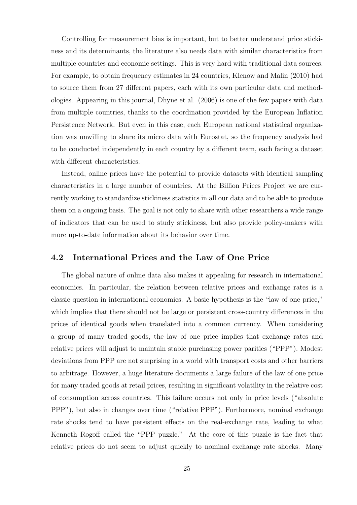Controlling for measurement bias is important, but to better understand price stickiness and its determinants, the literature also needs data with similar characteristics from multiple countries and economic settings. This is very hard with traditional data sources. For example, to obtain frequency estimates in 24 countries, Klenow and Malin (2010) had to source them from 27 different papers, each with its own particular data and methodologies. Appearing in this journal, Dhyne et al. (2006) is one of the few papers with data from multiple countries, thanks to the coordination provided by the European Inflation Persistence Network. But even in this case, each European national statistical organization was unwilling to share its micro data with Eurostat, so the frequency analysis had to be conducted independently in each country by a different team, each facing a dataset with different characteristics.

Instead, online prices have the potential to provide datasets with identical sampling characteristics in a large number of countries. At the Billion Prices Project we are currently working to standardize stickiness statistics in all our data and to be able to produce them on a ongoing basis. The goal is not only to share with other researchers a wide range of indicators that can be used to study stickiness, but also provide policy-makers with more up-to-date information about its behavior over time.

### 4.2 International Prices and the Law of One Price

The global nature of online data also makes it appealing for research in international economics. In particular, the relation between relative prices and exchange rates is a classic question in international economics. A basic hypothesis is the "law of one price," which implies that there should not be large or persistent cross-country differences in the prices of identical goods when translated into a common currency. When considering a group of many traded goods, the law of one price implies that exchange rates and relative prices will adjust to maintain stable purchasing power parities ("PPP"). Modest deviations from PPP are not surprising in a world with transport costs and other barriers to arbitrage. However, a huge literature documents a large failure of the law of one price for many traded goods at retail prices, resulting in significant volatility in the relative cost of consumption across countries. This failure occurs not only in price levels ("absolute PPP"), but also in changes over time ("relative PPP"). Furthermore, nominal exchange rate shocks tend to have persistent effects on the real-exchange rate, leading to what Kenneth Rogoff called the "PPP puzzle." At the core of this puzzle is the fact that relative prices do not seem to adjust quickly to nominal exchange rate shocks. Many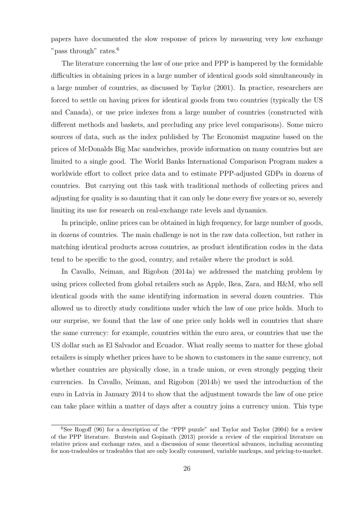papers have documented the slow response of prices by measuring very low exchange "pass through" rates.<sup>6</sup>

The literature concerning the law of one price and PPP is hampered by the formidable difficulties in obtaining prices in a large number of identical goods sold simultaneously in a large number of countries, as discussed by Taylor (2001). In practice, researchers are forced to settle on having prices for identical goods from two countries (typically the US and Canada), or use price indexes from a large number of countries (constructed with different methods and baskets, and precluding any price level comparisons). Some micro sources of data, such as the index published by The Economist magazine based on the prices of McDonalds Big Mac sandwiches, provide information on many countries but are limited to a single good. The World Banks International Comparison Program makes a worldwide effort to collect price data and to estimate PPP-adjusted GDPs in dozens of countries. But carrying out this task with traditional methods of collecting prices and adjusting for quality is so daunting that it can only be done every five years or so, severely limiting its use for research on real-exchange rate levels and dynamics.

In principle, online prices can be obtained in high frequency, for large number of goods, in dozens of countries. The main challenge is not in the raw data collection, but rather in matching identical products across countries, as product identification codes in the data tend to be specific to the good, country, and retailer where the product is sold.

In Cavallo, Neiman, and Rigobon (2014a) we addressed the matching problem by using prices collected from global retailers such as Apple, Ikea, Zara, and H&M, who sell identical goods with the same identifying information in several dozen countries. This allowed us to directly study conditions under which the law of one price holds. Much to our surprise, we found that the law of one price only holds well in countries that share the same currency: for example, countries within the euro area, or countries that use the US dollar such as El Salvador and Ecuador. What really seems to matter for these global retailers is simply whether prices have to be shown to customers in the same currency, not whether countries are physically close, in a trade union, or even strongly pegging their currencies. In Cavallo, Neiman, and Rigobon (2014b) we used the introduction of the euro in Latvia in January 2014 to show that the adjustment towards the law of one price can take place within a matter of days after a country joins a currency union. This type

 $6$ See Rogoff (96) for a description of the "PPP puzzle" and Taylor and Taylor (2004) for a review of the PPP literature. Burstein and Gopinath (2013) provide a review of the empirical literature on relative prices and exchange rates, and a discussion of some theoretical advances, including accounting for non-tradeables or tradeables that are only locally consumed, variable markups, and pricing-to-market.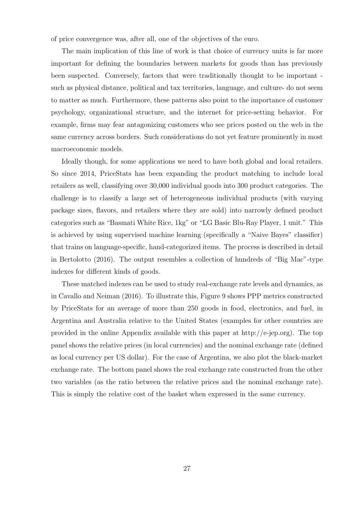of price convergence was, after all, one of the objectives of the euro.

The main implication of this line of work is that choice of currency units is far more important for defining the boundaries between markets for goods than has previously been suspected. Conversely, factors that were traditionally thought to be important such as physical distance, political and tax territories, language, and culture- do not seem to matter as much. Furthermore, these patterns also point to the importance of customer psychology, organizational structure, and the internet for price-setting behavior. For example, firms may fear antagonizing customers who see prices posted on the web in the same currency across borders. Such considerations do not yet feature prominently in most macroeconomic models.

Ideally though, for some applications we need to have both global and local retailers. So since 2014, PriceStats has been expanding the product matching to include local retailers as well, classifying over 30,000 individual goods into 300 product categories. The challenge is to classify a large set of heterogeneous individual products (with varying package sizes, flavors, and retailers where they are sold) into narrowly defined product categories such as "Basmati White Rice, 1kg" or "LG Basic Blu-Ray Player, 1 unit." This is achieved by using supervised machine learning (specifically a "Naive Bayes" classifier) that trains on language-specific, hand-categorized items. The process is described in detail in Bertolotto (2016). The output resembles a collection of hundreds of "Big Mac"-type indexes for different kinds of goods.

These matched indexes can be used to study real-exchange rate levels and dynamics, as in Cavallo and Neiman (2016). To illustrate this, Figure 9 shows PPP metrics constructed by PriceStats for an average of more than 250 goods in food, electronics, and fuel, in Argentina and Australia relative to the United States (examples for other countries are provided in the online Appendix available with this paper at  $\frac{http://e-jep.org)}{...}$ . The top panel shows the relative prices (in local currencies) and the nominal exchange rate (defined as local currency per US dollar). For the case of Argentina, we also plot the black-market exchange rate. The bottom panel shows the real exchange rate constructed from the other two variables (as the ratio between the relative prices and the nominal exchange rate). This is simply the relative cost of the basket when expressed in the same currency.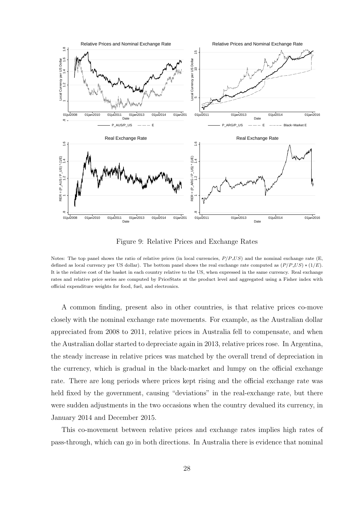

Figure 9: Relative Prices and Exchange Rates

Notes: The top panel shows the ratio of relative prices (in local currencies,  $P/P$  US) and the nominal exchange rate (E, defined as local currency per US dollar). The bottom panel shows the real exchange rate computed as  $(P/P$  US)  $*(1/E)$ . It is the relative cost of the basket in each country relative to the US, when expressed in the same currency. Real exchange rates and relative price series are computed by PriceStats at the product level and aggregated using a Fisher index with official expenditure weights for food, fuel, and electronics.

A common finding, present also in other countries, is that relative prices co-move closely with the nominal exchange rate movements. For example, as the Australian dollar appreciated from 2008 to 2011, relative prices in Australia fell to compensate, and when the Australian dollar started to depreciate again in 2013, relative prices rose. In Argentina, the steady increase in relative prices was matched by the overall trend of depreciation in the currency, which is gradual in the black-market and lumpy on the official exchange rate. There are long periods where prices kept rising and the official exchange rate was held fixed by the government, causing "deviations" in the real-exchange rate, but there were sudden adjustments in the two occasions when the country devalued its currency, in January 2014 and December 2015.

This co-movement between relative prices and exchange rates implies high rates of pass-through, which can go in both directions. In Australia there is evidence that nominal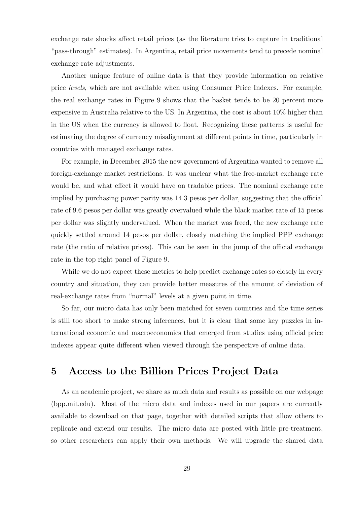exchange rate shocks affect retail prices (as the literature tries to capture in traditional "pass-through" estimates). In Argentina, retail price movements tend to precede nominal exchange rate adjustments.

Another unique feature of online data is that they provide information on relative price levels, which are not available when using Consumer Price Indexes. For example, the real exchange rates in Figure 9 shows that the basket tends to be 20 percent more expensive in Australia relative to the US. In Argentina, the cost is about 10% higher than in the US when the currency is allowed to float. Recognizing these patterns is useful for estimating the degree of currency misalignment at different points in time, particularly in countries with managed exchange rates.

For example, in December 2015 the new government of Argentina wanted to remove all foreign-exchange market restrictions. It was unclear what the free-market exchange rate would be, and what effect it would have on tradable prices. The nominal exchange rate implied by purchasing power parity was 14.3 pesos per dollar, suggesting that the official rate of 9.6 pesos per dollar was greatly overvalued while the black market rate of 15 pesos per dollar was slightly undervalued. When the market was freed, the new exchange rate quickly settled around 14 pesos per dollar, closely matching the implied PPP exchange rate (the ratio of relative prices). This can be seen in the jump of the official exchange rate in the top right panel of Figure 9.

While we do not expect these metrics to help predict exchange rates so closely in every country and situation, they can provide better measures of the amount of deviation of real-exchange rates from "normal" levels at a given point in time.

So far, our micro data has only been matched for seven countries and the time series is still too short to make strong inferences, but it is clear that some key puzzles in international economic and macroeconomics that emerged from studies using official price indexes appear quite different when viewed through the perspective of online data.

# 5 Access to the Billion Prices Project Data

As an academic project, we share as much data and results as possible on our webpage (bpp.mit.edu). Most of the micro data and indexes used in our papers are currently available to download on that page, together with detailed scripts that allow others to replicate and extend our results. The micro data are posted with little pre-treatment, so other researchers can apply their own methods. We will upgrade the shared data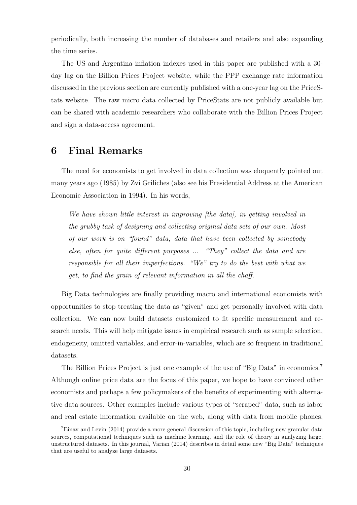periodically, both increasing the number of databases and retailers and also expanding the time series.

The US and Argentina inflation indexes used in this paper are published with a 30 day lag on the Billion Prices Project website, while the PPP exchange rate information discussed in the previous section are currently published with a one-year lag on the PriceStats website. The raw micro data collected by PriceStats are not publicly available but can be shared with academic researchers who collaborate with the Billion Prices Project and sign a data-access agreement.

## 6 Final Remarks

The need for economists to get involved in data collection was eloquently pointed out many years ago (1985) by Zvi Griliches (also see his Presidential Address at the American Economic Association in 1994). In his words,

We have shown little interest in improving [the data], in getting involved in the grubby task of designing and collecting original data sets of our own. Most of our work is on "found" data, data that have been collected by somebody else, often for quite different purposes ... "They" collect the data and are responsible for all their imperfections. "We" try to do the best with what we get, to find the grain of relevant information in all the chaff.

Big Data technologies are finally providing macro and international economists with opportunities to stop treating the data as "given" and get personally involved with data collection. We can now build datasets customized to fit specific measurement and research needs. This will help mitigate issues in empirical research such as sample selection, endogeneity, omitted variables, and error-in-variables, which are so frequent in traditional datasets.

The Billion Prices Project is just one example of the use of "Big Data" in economics.<sup>7</sup> Although online price data are the focus of this paper, we hope to have convinced other economists and perhaps a few policymakers of the benefits of experimenting with alternative data sources. Other examples include various types of "scraped" data, such as labor and real estate information available on the web, along with data from mobile phones,

<sup>7</sup>Einav and Levin (2014) provide a more general discussion of this topic, including new granular data sources, computational techniques such as machine learning, and the role of theory in analyzing large, unstructured datasets. In this journal, Varian (2014) describes in detail some new "Big Data" techniques that are useful to analyze large datasets.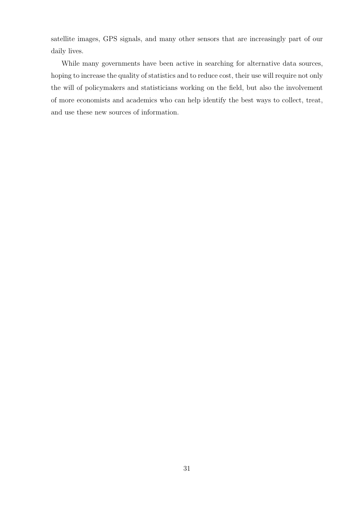satellite images, GPS signals, and many other sensors that are increasingly part of our daily lives.

While many governments have been active in searching for alternative data sources, hoping to increase the quality of statistics and to reduce cost, their use will require not only the will of policymakers and statisticians working on the field, but also the involvement of more economists and academics who can help identify the best ways to collect, treat, and use these new sources of information.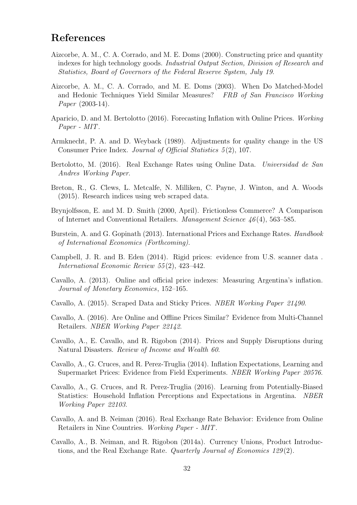## References

- Aizcorbe, A. M., C. A. Corrado, and M. E. Doms (2000). Constructing price and quantity indexes for high technology goods. Industrial Output Section, Division of Research and Statistics, Board of Governors of the Federal Reserve System, July 19.
- Aizcorbe, A. M., C. A. Corrado, and M. E. Doms (2003). When Do Matched-Model and Hedonic Techniques Yield Similar Measures? FRB of San Francisco Working Paper (2003-14).
- Aparicio, D. and M. Bertolotto (2016). Forecasting Inflation with Online Prices. Working Paper - MIT.
- Armknecht, P. A. and D. Weyback (1989). Adjustments for quality change in the US Consumer Price Index. Journal of Official Statistics 5 (2), 107.
- Bertolotto, M. (2016). Real Exchange Rates using Online Data. Universidad de San Andres Working Paper.
- Breton, R., G. Clews, L. Metcalfe, N. Milliken, C. Payne, J. Winton, and A. Woods (2015). Research indices using web scraped data.
- Brynjolfsson, E. and M. D. Smith (2000, April). Frictionless Commerce? A Comparison of Internet and Conventional Retailers. Management Science 46 (4), 563–585.
- Burstein, A. and G. Gopinath (2013). International Prices and Exchange Rates. *Handbook* of International Economics (Forthcoming).
- Campbell, J. R. and B. Eden (2014). Rigid prices: evidence from U.S. scanner data . International Economic Review 55 (2), 423–442.
- Cavallo, A. (2013). Online and official price indexes: Measuring Argentina's inflation. Journal of Monetary Economics, 152–165.
- Cavallo, A. (2015). Scraped Data and Sticky Prices. NBER Working Paper 21490.
- Cavallo, A. (2016). Are Online and Offline Prices Similar? Evidence from Multi-Channel Retailers. NBER Working Paper 22142.
- Cavallo, A., E. Cavallo, and R. Rigobon (2014). Prices and Supply Disruptions during Natural Disasters. Review of Income and Wealth 60.
- Cavallo, A., G. Cruces, and R. Perez-Truglia (2014). Inflation Expectations, Learning and Supermarket Prices: Evidence from Field Experiments. NBER Working Paper 20576.
- Cavallo, A., G. Cruces, and R. Perez-Truglia (2016). Learning from Potentially-Biased Statistics: Household Inflation Perceptions and Expectations in Argentina. NBER Working Paper 22103.
- Cavallo, A. and B. Neiman (2016). Real Exchange Rate Behavior: Evidence from Online Retailers in Nine Countries. Working Paper - MIT.
- Cavallo, A., B. Neiman, and R. Rigobon (2014a). Currency Unions, Product Introductions, and the Real Exchange Rate. Quarterly Journal of Economics  $129(2)$ .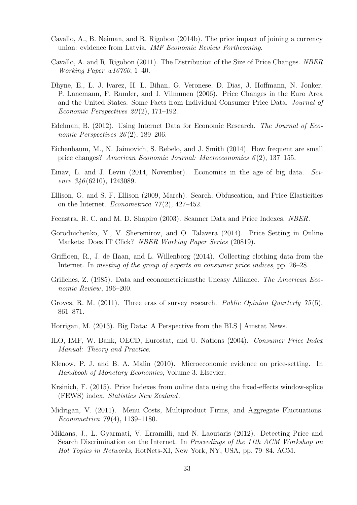- Cavallo, A., B. Neiman, and R. Rigobon (2014b). The price impact of joining a currency union: evidence from Latvia. IMF Economic Review Forthcoming.
- Cavallo, A. and R. Rigobon (2011). The Distribution of the Size of Price Changes. NBER Working Paper w16760, 1–40.
- Dhyne, E., L. J. lvarez, H. L. Bihan, G. Veronese, D. Dias, J. Hoffmann, N. Jonker, P. Lnnemann, F. Rumler, and J. Vilmunen (2006). Price Changes in the Euro Area and the United States: Some Facts from Individual Consumer Price Data. Journal of Economic Perspectives  $20(2)$ , 171–192.
- Edelman, B. (2012). Using Internet Data for Economic Research. The Journal of Economic Perspectives  $26(2)$ , 189–206.
- Eichenbaum, M., N. Jaimovich, S. Rebelo, and J. Smith (2014). How frequent are small price changes? American Economic Journal: Macroeconomics 6 (2), 137–155.
- Einav, L. and J. Levin (2014, November). Economics in the age of big data. Science  $346(6210)$ , 1243089.
- Ellison, G. and S. F. Ellison (2009, March). Search, Obfuscation, and Price Elasticities on the Internet. Econometrica  $77(2)$ , 427-452.
- Feenstra, R. C. and M. D. Shapiro (2003). Scanner Data and Price Indexes. NBER.
- Gorodnichenko, Y., V. Sheremirov, and O. Talavera (2014). Price Setting in Online Markets: Does IT Click? NBER Working Paper Series (20819).
- Griffioen, R., J. de Haan, and L. Willenborg (2014). Collecting clothing data from the Internet. In *meeting of the group of experts on consumer price indices*, pp. 26–28.
- Griliches, Z. (1985). Data and econometriciansthe Uneasy Alliance. The American Economic Review, 196–200.
- Groves, R. M. (2011). Three eras of survey research. Public Opinion Quarterly  $75(5)$ , 861–871.
- Horrigan, M. (2013). Big Data: A Perspective from the BLS | Amstat News.
- ILO, IMF, W. Bank, OECD, Eurostat, and U. Nations (2004). Consumer Price Index Manual: Theory and Practice.
- Klenow, P. J. and B. A. Malin (2010). Microeconomic evidence on price-setting. In Handbook of Monetary Economics, Volume 3. Elsevier.
- Krsinich, F. (2015). Price Indexes from online data using the fixed-effects window-splice (FEWS) index. Statistics New Zealand.
- Midrigan, V. (2011). Menu Costs, Multiproduct Firms, and Aggregate Fluctuations. Econometrica 79 (4), 1139–1180.
- Mikians, J., L. Gyarmati, V. Erramilli, and N. Laoutaris (2012). Detecting Price and Search Discrimination on the Internet. In Proceedings of the 11th ACM Workshop on Hot Topics in Networks, HotNets-XI, New York, NY, USA, pp. 79–84. ACM.